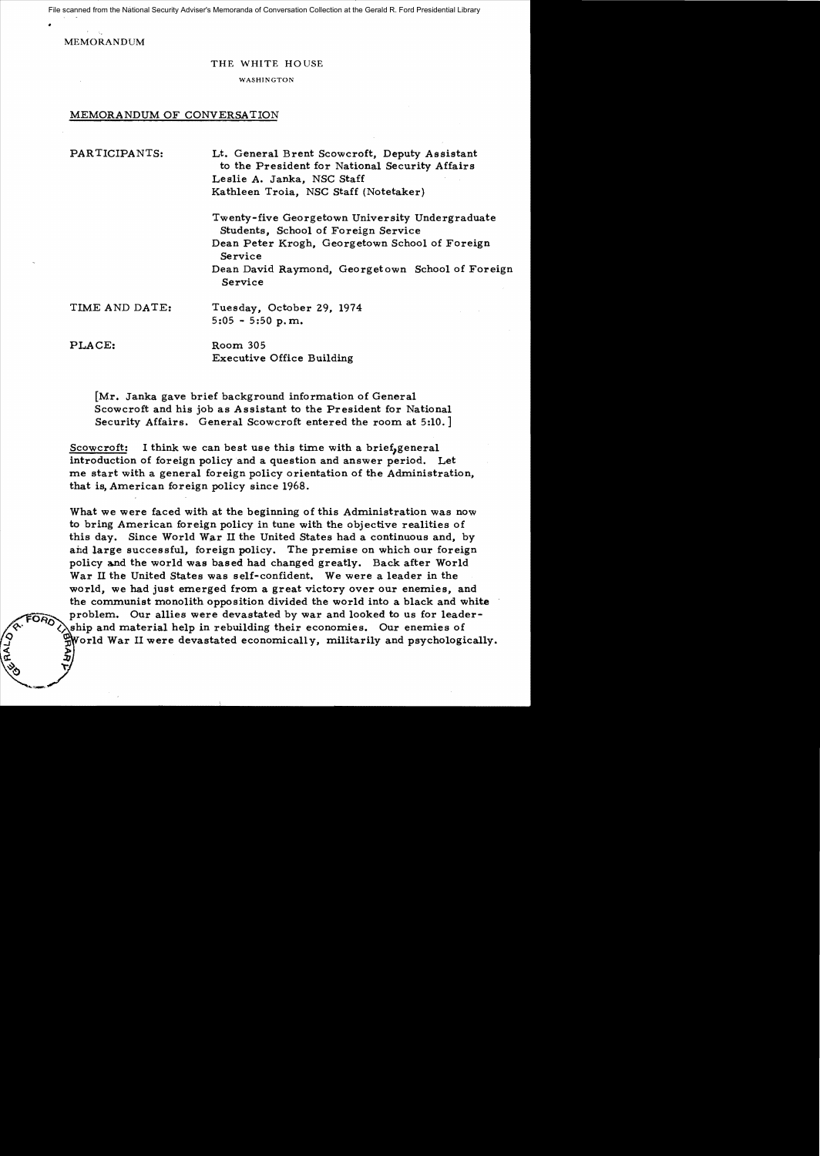File scanned from the National Security Adviser's Memoranda of Conversation Collection at the Gerald R. Ford Presidential Library

MEMORANDUM

## THE WHITE HOUSE

WASHINGTON

## MEMORANDUM OF CONVERSATION

PARTICIPANTS: Lt. General Brent Scowcroft, Deputy Assistant to the President for National Security Affairs Leslie A. Janka, NSC Staff Kathleen Troia, NSC Staff (Notetaker)

> Twenty-five Georgetown University Undergraduate Students, School of Foreign Service Dean Peter Krogh, Georgetown School of Foreign Service Dean David Raymond, Georgetown School of Foreign Service

TIME AND DATE: Tuesday, October 29, 1974 5:05 - 5:50 p.nn.

PLACE: Room 305

.> ::/)  $\nabla f$  Executive Office Building

[Mr. Janka gave brief background information of General Scowcroft and his job as Assistant to the President for National Security Affairs. General Scowcroft entered the room at 5:10.]

Scowcroft: I think we can best use this time with a brief, general introduction of foreign policy and a question and answer period. Let me start with a general foreign policy orientation of the Administration, that is, American foreign policy since 1968.

What we were faced with at the beginning of this Administration was now to bring Annerican foreign policy in tune with the objective realities of this day. Since World War II the United States had a continuous and, by and large successful, foreign policy. The premise on which our foreign policy and the world was based had changed greatly. Back after World War II the United States was self-confident. We were a leader in the world, we had just emerged from a great victory over our enemies, and the communist monolith opposition divided the world into a black and white problem. Our allies were devastated by war and looked to us for leadership and material help in rebuilding their economies. Our enemies of World War II were devastated economically, militarily and psychologically.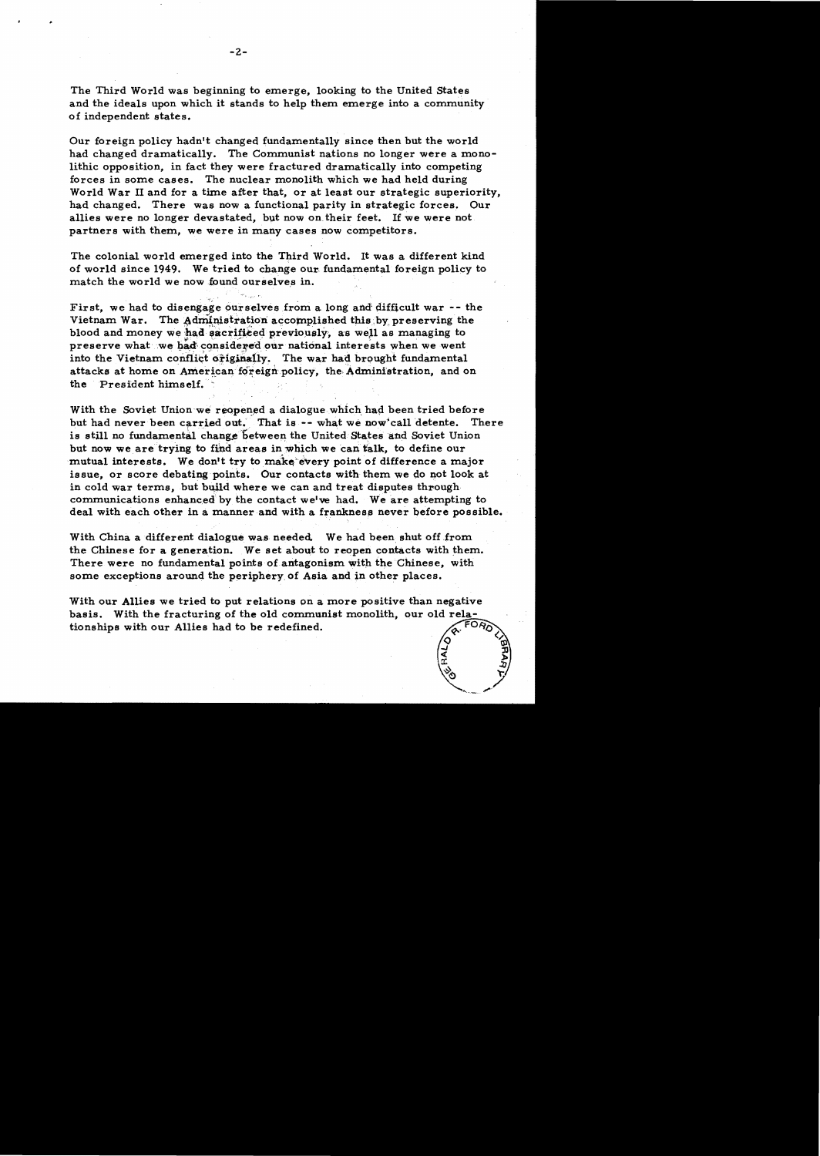The Third World was beginning to emerge, looking to the United States and the ideals upon which it stands to help them emerge into a community of independent states.

Our foreign policy hadn't changed fundamentally since then but the world had changed dramatically. The Communist nations no longer were a monolithic opposition, in fact they were fractured dramatically into competing forces in some cases. The nuclear monolith which we had held during World War II and for a time after that, or at least our strategic superiority, had changed. There was now a functional parity in strategic forces. Our allies were no longer devastated, but now on their feet. If we were not. partners with them, we were in many cases now competitors.

The colonial world emerged into the Third World. It was a different kind of world since 1949. We tried to change our· fundamental foreign policy to match the world we now found ourselves in.

First, we had to disengage ourselves from a long and difficult war  $-$ - the Vietnam War. The Administration accomplished this by preserving the blood and money we had sacrificed previously, as well as managing to preserve what we bad considered our national interests when we went into the Vietnam conflict originally. The war had brought fundamental attacks at home on American foreign policy, the Administration, and on the President himself.

With the Soviet Union we reopened a dialogue which had been tried before but had never been carried out. That is -- what we now'call detente. There is still no fundamental change between the United States and Soviet Union but now we are trying to find areas in which we can talk, to define our mutual interests. We don't try to make every point of difference a major issue, or score debating points. Our contacts with them we do not look at in cold war terms, but build where we can and treat disputes through communications enhanced by the contact we've had. We are attempting to deal with each other in a manner and with a frankness never before possible.

With China a different dialogue was needed. We had been shut off from the Chinese for a generation. We set about to reopen contacts with them. There were no fundamental points of antagonism with the Chinese, with some exceptions around the periphery, of Asia and in other places.

With our Allies we tried to put relations on a more positive than negative basis. With the fracturing of the old communist monolith, our old relationships with our Allies had to be redefined.  $\zeta^r$   $\zeta$ 

 $\frac{\text{Br}}{\text{27}}$ 

 $r_{\rm c}$  =  $\frac{z}{z}$ 

,..,/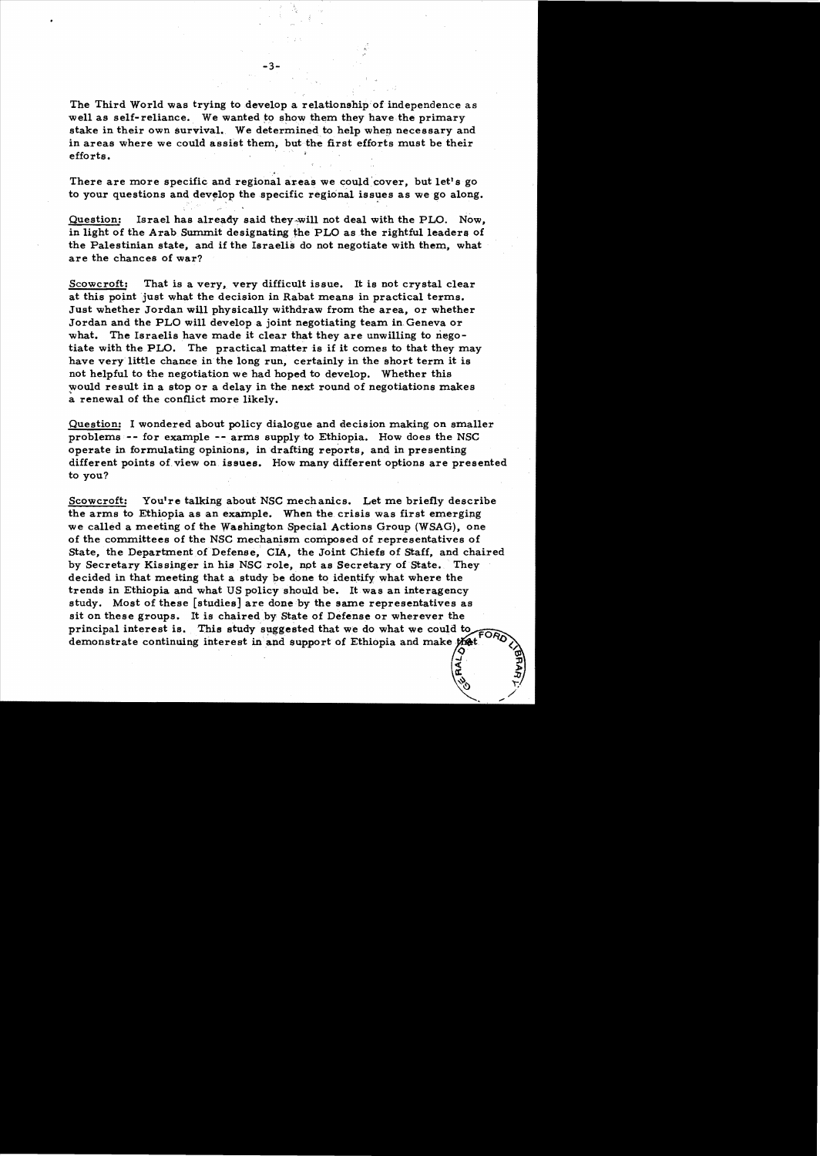The Third World was trying to develop a relationship of independence as well as self-reliance. We wanted to show them they have the primary stake in their own survival. We determined to help when necessary and in areas where we could assist them, but the first efforts must be their efforts.

There are more specific and regional areas we could cover, but let's go to your questions and develop the specific regional issues as we go along.

Question: Israel has already said they-will not deal with the PLO. Now, in light of the Arab Summit designating the PLO as the rightful leaders of the Palestinian state, and if the Israelis do not negotiate with them, what are the chances of war?

Scowcroft: That is a very, very difficult issue. It is not crystal clear at this point just what the decision in Rabat means in practical terms. Just whether Jordan will physically withdraw from the area, or whether Jordan and the PLO wlll develop a joint negotiating team in, Geneva or what. The Israelis have made it clear that they are unwilling to negotiate with the PLO. The practical matter is if it comes to that they may have very little chanee in the long run, certainly in the short term it is not helpful to the negotiation we had hoped to develop. Whether this would result in a stop or a delay in the next round of negotiations makes a renewal of the conflict more likely.

Question: I wondered about policy dialogue and decision making on smaller problems -- for example **.,..-** arms supply to Ethiopia. How does the NSC operate in formulating opinions, in drafting reports, and in presenting different points of view on issues. How many different options are presented to you?

Scowcroft: You're talking about NSC mechanics. Let me briefly describe the arms to Ethiopia as an example. When the crisis was first emerging we called a meeting of the Washington Special Actions Group (WSAG), one of the committees of the NSC mechanism composed of representatives of State, the Department of Defense, CIA, the Joint Chiefs of Staff, and chaired by Secretary Kissinger in his NSC role, not as Secretary of State. They decided in that meeting that a study be done to identify what where the trends in Ethiopia and what US pOlicy should be. It was an interagency study. Most of these [studies] are done by the same representatives as sit on these groups. It is chaired by state of Defense or wherever the principal interest is. This study suggested that we do what we could to  $\widetilde{FOR}$ demonstrate continuing interest in and support of Ethiopia and make that

> ..J, 5 a:.

> > $\sim$

ም)<br>ፓ 5 J:J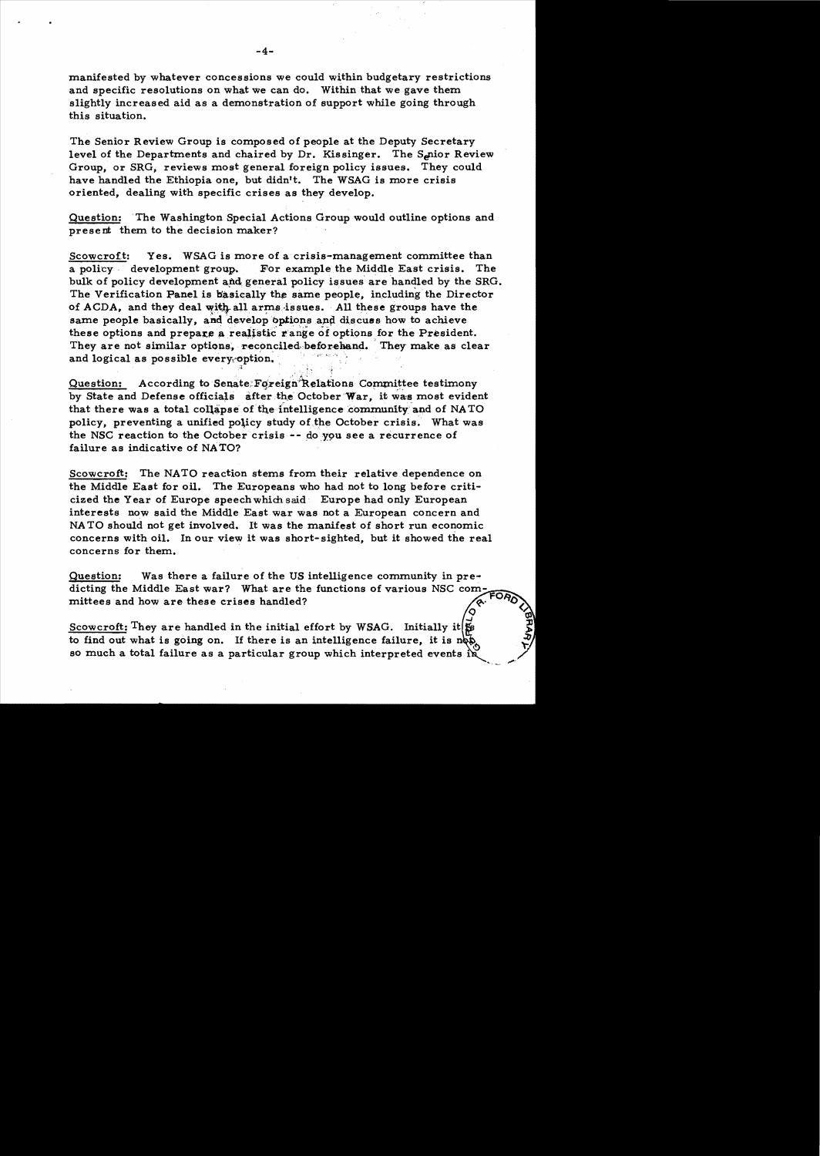manifested by whatever concessions we could within budgetary restrictions and specific resolutions on what we can do. Within that we gave them slightly increased aid as a demonstration of support while going through this situation.

The Senior Review Group is composed of people at the Deputy Secretary level of the Departments and chaired by Dr. Kissinger. The S<sub>e</sub>nior Review Group, or SRG, reviews most general foreign policy issues. They could have handled the Ethiopia one, but didn't. The WSAG is more crisis oriented, dealing with specific crises as they develop.

Question: The Washington Special Actions Group would outline options and present them to the decision maker?

Scowcroft: Yes. WSAG is more of a crisis-management committee than a policy development group. For example the Middle East crisis. The bulk of policy development and general policy issues are handled by the SRG. The Verification Panel is basically the same people, including the Director of ACDA, and they deal with all arms issues. All these groups have the same people basically, and develop options and discuss how to achieve these options and prepare a realistic range of options for the President. They are not similar options, reconciled, beforehand. They make as clear and logical as possible every option.

Question: According to Senate: Foreign Relations Committee testimony by State and Defense officials after the October War, it was most evident that there was a total collapse of the intelligence community and of NATO policy, preventing a unified policy study of.the October crisis. What was the NSC reaction to the October crisis  $-$  do you see a recurrence of failure as indicative of NATO?

Scowcroft: The NATO reaction stems from their relative dependence on the Middle East for oil. The Europeans who had not to long before criticized the Year of Europe speechwhich said . Europe had only European interests now said the Middle East war was not a European concern and NA TO should not get involved. It was the manifest of short run economic concerns with oil. In our view it was short-sighted, but it showed the real concerns for them.

Question: Was there a failure of the US intelligence community in predicting the Middle East war? What are the functions of various NSC com. mittees and how are these crises handled?

Scowcroft: They are handled in the initial effort by WSAG. Initially it  $\sharp$ to find out what is going on. If there is an intelligence failure, it is so much a total failure as a particular group which interpreted events in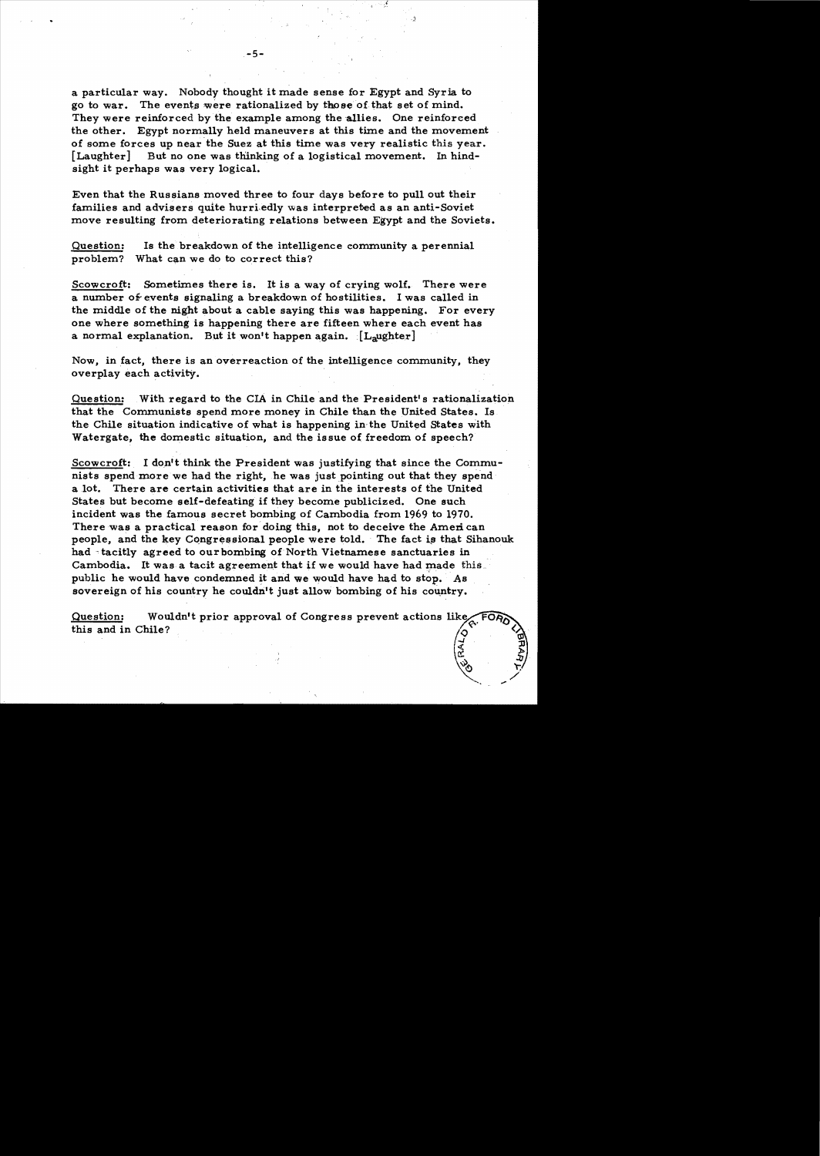a particular way. Nobody thought it made sense for Egypt and Syria to go to war. The events were rationalized by those of that set of mind. They were reinforced by the example among the allies. One reinforced the other. Egypt normally held maneuvers at this time and the movement of some forces up near the Suez at this time was very realistic this year. [Laughter] But no one was thinking of a logistical movement. In hindsight it perhaps was very logical.

Even that the Russians moved three to four days before to pull out their families and advisers quite hurriedly was interpreted as an anti-Soviet move resulting from deteriorating relations between Egypt and the Soviets.

Question: Is the breakdown of the intelligence community a perennial problem? What can we do to correct this?

Scowcroft: Sometimes there is. It is a way of crying wolf. There were a number of events signaling a breakdown of hostilities. I was called in the middle of the night about a cable saying this was happening. For every one where something is happening there are fifteen where each event has a normal explanation. But it won't happen again.  $[L_2 \cup L_3]$ 

Now, in fact, there is an overreaction of the intelligence community, they overplay each activity.

Question: With regard to the CIA in Chile and the President's rationalization that the Communists spend more money in Chile than the United States. Is the Chile situation indicative of what is happening in·the United States with Watergate, the domestic situation, and the issue of freedom of speech?

Scowcroft: I don't think the President was justifying that since the Communists spend more we had the right, he was just pointing out that they spend a lot. There are certain activities that are in the interests of the United States but become self-defeating if they become publicized. One such incident was the famous secret bombing of Cambodia from 1969 to 1970. There was a practical reason for doing this, not to deceive the American people, and the key Congressional people were told. The fact is that Sihanouk had tacitly agreed to our bombing of North Vietnamese sanctuaries in Cambodia. It was a tacit agreement that if we would have had made this public he would have condemned it and we would have had to stop. As sovereign of his country he couldn't just allow bombing of his country.

Question: Wouldn't prior approval of Congress prevent actions like, this and in Chile?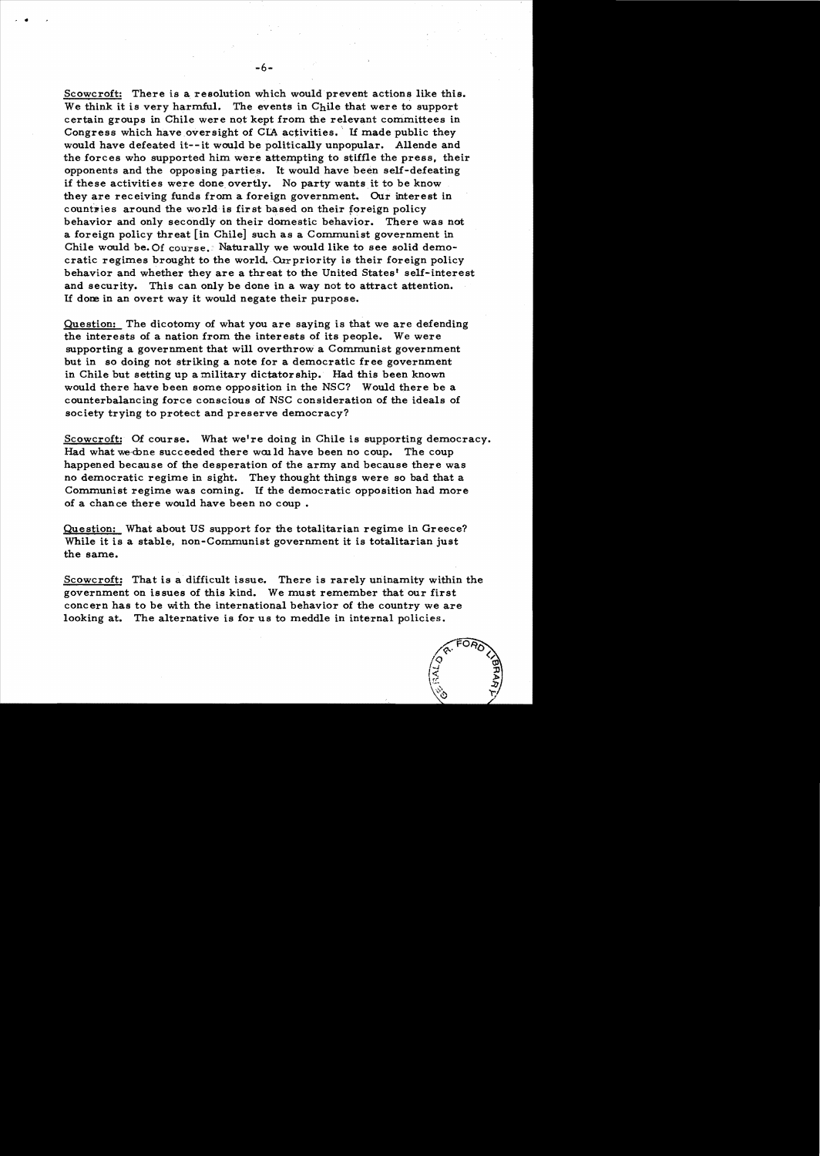Scowcroft: There is a resolution which would prevent actions like this. We think it is very harmful. The events in  $Chile$  that were to support certain groups in Chile were not kept from the relevant committees in Congress which have oversight of CIA activities. If made public they would have defeated it--it would be politically unpopular. Allende and the forces who supported him were attempting to stiffle the press, their opponents and the opposing parties. It would have been self-defeating if these activities were done overtly. No party wants it to be know they are receiving funds from a foreign government. Our interest in countries around the world is first based on their foreign policy behavior and only secondly on their domestic behavior. There was not a foreign policy threat [in Chile] such as a Communist government in Chile would be. Of course.: Naturally we would like to see solid democratic regimes brought to the world. Our priority is their foreign policy behavior and whether they are a threat to the United States' self-interest and security. This can only be done in a way not to attract attention. If dom in an overt way it would negate their purpose.

Question: The dicotomy of what you are saying is that we are defending the interests of a nation from the interests of its people. We were supporting a government that will overthrow a Communist government but in so doing not striking a note for a democratic free government in Chile but setting up a military dictatorship. Had this been known would there have been some opposition in the NSC? Would there be a counterbalancing force conscious of NSC consideration of the ideals of society trying to protect and preserve democracy?

Scowcroft: Of course. What we're doing in Chile is supporting democracy. Had what we-done succeeded there would have been no coup. The coup happened because of the desperation of the army and because there was no democratic regime in sight. They thought things were so bad that a Communist regime was coming. If the democratic opposition had more of a chance there would have been no coup.

Question: What about US support for the totalitarian regime in Greece? While it is a stable, non-Communist government it is totalitarian just the same.

Scowcroft: That is a difficult issue. There is rarely uninamity within the government on issues of this kind. We must remember that our first concern has to be with the international behavior of the country we are looking at. The alternative is for us to meddle in internal policies.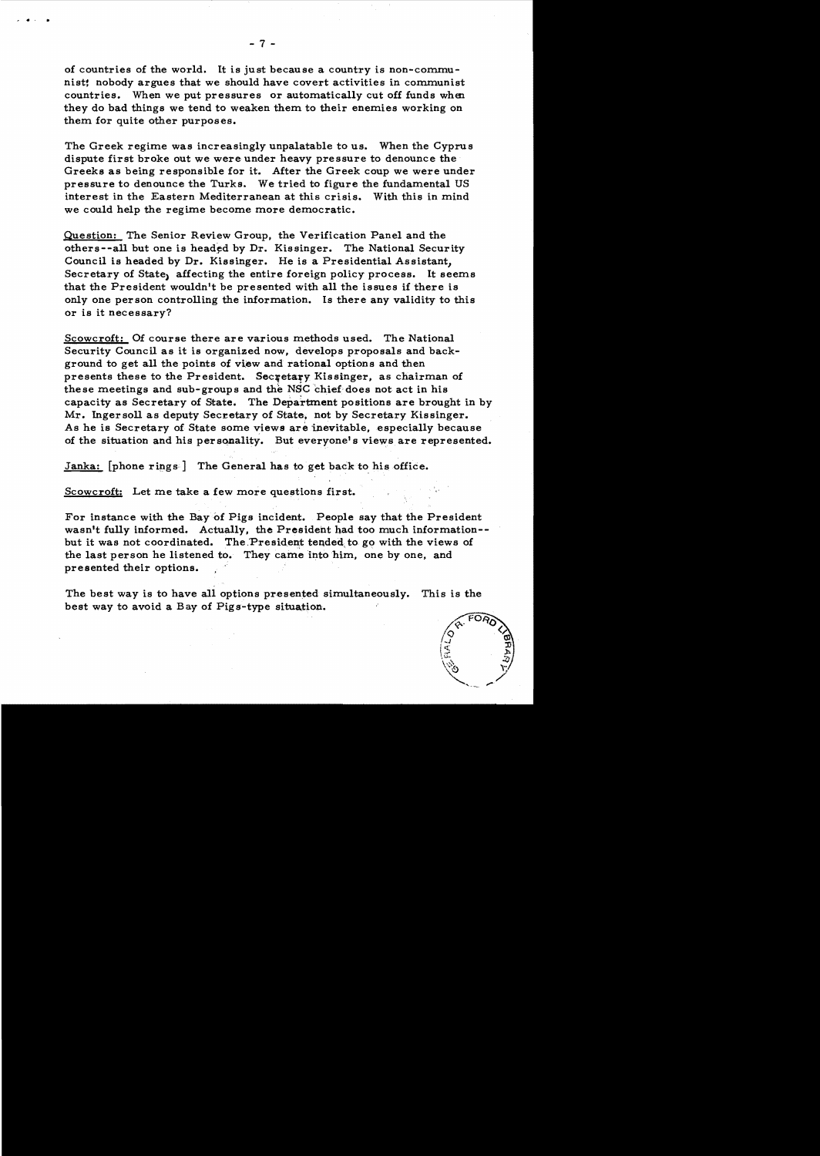of countries of the world. It is just because a country is non-communist! nobody argues that we should have covert activities in communist countries. When we put pressures or automatically cut off funds when they do bad things we tend to weaken them to their enemies working on them for quite other purposes.

The Greek regime was increasingly unpalatable to us. When the Cyprus dispute first broke out we were under heavy pressure to denounce the Greeks as being responsible for it. After the Greek coup we were under pressure to denounce the Turks. We tried to figure the fundamental US interest in the Eastern Mediterranean at this crisis. With this in mind we could help the regime become more democratic.

Question: The Senior Review Group, the Verification Panel and the others--all but one is headed by Dr. Kissinger. The National Security Council is headed by Dr. Kissinger. He is a Presidential Assistant, Secretary of State, affecting the entire foreign policy process. It seems that the President wouldn't be presented with all the issues if there is only one person controlling the information. Is there any validity to this or is it necessary?

Scowcroft: Of course there are various methods used. The National Security Council as it is organized now, develops proposals and background to get all the points of view and rational options and then presents these to the President. Secretary Kissinger, as chairman of these meetings and sub-groups and the NSC chief does not act in his capacity as Secretary of State. The Department positions are brought in by Mr. Ingersoll as deputy Secretary of State, not by Secretary Kissinger. As he is Secretary of State some views are inevitable, especially because of the situation and his personality. But everyone's views are represented.

Janka:  $[phone rings]$  The General has to get back to his office.

Scowcroft: Let me take a few more questions first.

For instance with the Bay of Pigs incident. People say that the President wasn't fully informed. Actually, the President had too much information-but it was not coordinated. The President tended to go with the views of the last person he listened to. They came into him, one by one, and presented their options.

The best way is to have all options presented simultaneously. This is the best way to avoid a Bay of Pigs-type situation.



# •• •